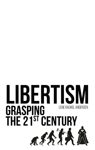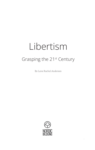# Libertism Grasping the 21<sup>st</sup> Century

By Lene Rachel Andersen

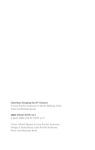#### Libertism: Grasping the 21<sup>st</sup> Century

© Lene Rachel Andersen & Nordic Bildung, 2022 www.nordicbildung.org

ISBN: 978-87-93791-14-5 E-Book ISBN: 978-87-93791-16-9

Cover: Alfred Nguyen & Lene Rachel Andersen Design & illustrations: Lene Rachel Andersen Print: Scandinavian Book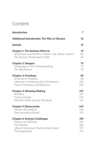### Content

| Introduction                                         | 7   |
|------------------------------------------------------|-----|
| <b>Additional Introduction: The War in Ukraine</b>   | 12  |
| <b>Genesis</b>                                       | 15  |
| Chapter 1: The Systems We're In                      | 19  |
| 18 Systems and Patterns: Matter, Life, Mind, Culture | 20  |
| The Human Predicament 2022                           | 65  |
| <b>Chapter 2: Dangers</b>                            | 73  |
| Challenges to Our Understanding                      | 74  |
| The Big Picture                                      | 78  |
| <b>Chapter 3: Freedoms</b>                           | 83  |
| 21 Kinds of Freedom                                  | 86  |
| Libertism: Combining the 21 Freedoms                 | 122 |
| Future Freedoms and Obstacles                        | 124 |
| <b>Chapter 4: Meaning Making</b>                     | 127 |
| Realities                                            | 127 |
| Cultural Codes                                       | 133 |
| Memetic Hubs and our Emotions                        | 141 |
| <b>Chapter 5: Democracies</b>                        | 145 |
| Modern Era Politics                                  | 146 |
| One Successful Model                                 | 155 |
| <b>Chapter 6: Systems Challenges</b>                 | 159 |
| Powers are Shifting                                  | 160 |
| The Market                                           | 166 |
| Liberal Democracy Tearing Itself Apart               | 171 |
| The Singularity                                      | 173 |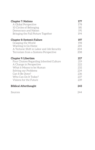| <b>Chapter 7: Nations</b>                  | 177  |
|--------------------------------------------|------|
| A Global Perspective                       | 178  |
| 10 Circles of Belonging                    | 181  |
| Democracy and Nation                       | 191  |
| Bringing the Full Picture Together         | 194  |
| <b>Chapter 8: System's Failure</b>         | 197  |
| Grasping the World                         | 198  |
| Wanting to Go Home                         | 201  |
| A Tectonic Shift in Labor and Job Security | 204  |
| Terrorism from a Systems Perspective       | 208  |
| <b>Chapter 9: Libertism</b>                | 217  |
| Four Choices Regarding Inherited Culture   | 219  |
| A Change in Perspective                    | 222. |
| What it Means to be Human                  | 232. |
| Solving our Problems                       | 234  |
| Can It Be Done?                            | 236  |
| Who Can Do It Today?                       | 237  |
| Visions for the Future                     | 239  |
| <b>Biblical Afterthought</b>               | 243  |
| Sources                                    | 244  |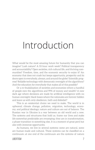# Introduction

What would be the most amazing future for humanity that you can imagine? Lush nature? A 10-hour work week? Political transparency and accountability? Open societies, rich cultural life, and thriving communities? Freedom, time, and the economic security to enjoy it? An economy that does not crash but keeps opportunity, prosperity and its doors open to everybody, always, and around the globe? Scientific progress? Reliable technology with democratic oversight of the algorithms? And the education for everybody that makes all of this possible?

Or a re-feudalization of societies and economies where a handful of people own the algorithms and 99% of money and wealth? A new dark age where decisions are made by artificial intelligence with no human oversight; black boxes where the rationales are forever hidden and leave us with only obedience, faith and disbelief?

This is an existential choice we need to make. The world is in upheaval; climate change, pollution, migration, technology, economy, and political ideology; nature and culture are out of balance. The Russian war in Ukraine is a war between an old world and a new. The systems and structures that hold us, frame our lives and make life somewhat predictable are revamping; they are in transformation, a phase-transition to something else. It is a moment of great peril but also with immense opportunity.

As humans, we live in several systems: some are natural, some are human-made and cultural. These systems can be classified on a continuum: at one end of the continuum are the systems of nature

#### Libertism 7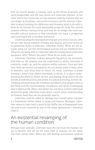that we cannot escape or change, such as the forces of gravity and electromagnetism and the way atoms and molecules interact; at the other end of the continuum are the systems made by humans that we can design as we please, such as the economy and the internet. Libertism is about knowing the difference and choosing what to do with it. How do we harvest the most sustainable prosperity from the natural systems without ruining them, and how do we design the most sustainable cultural systems so that everybody can enjoy a prosperous and meaningful life in freedom and peace?

Understanding the development that got us to where we are, why we are now facing systemic changes and choices, and then facing up to existential choice is Libertism. Libertism means: What are we actually using our current technological success and our freedoms for? What are we doing with it? Libertism asks the fundamental existential questions: Why? What's the point? What do we really want?

Libertism, therefore, is about seeing the big picture, the structures that hold us, the systems and the trajectories in which humanity is currently caught up, and the systems within systems. Once we have seen these structures and patterns, we can choose what to keep, what to abandon, and what kind of future we want. Libertism is about creating a future that allows everybody to thrive. It is about understanding the world in which we live, and playing along with it for the benefit of individual lives and all life. It is about protecting, further developing and promoting the freedoms and liberty that people enjoy in the West and the connectedness, rootedness, and sense of belonging that traditional life offers and which has not been entirely destroyed around the globe. Libertism is also about a much richer understanding of freedom itself than we are generally used to.

Libertism could be called an ideology but I would rather consider it a framework within which to grasp and balance ideologies. Libertism seems to have been a word in the 1600s, but it disappeared from use and is not currently in any of the major dictionaries. I therefore claim it.

### An existential revamping of the human condition

Perhaps most radically, Libertism faces the fact that the humans we are to become will not be the same kind of humans we are today and have always been. Either we will develop autonomous artificial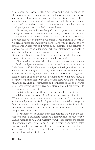intelligence that is smarter than ourselves, and we will no longer be the most intelligent phenomenon in the known universe; or we will choose *not* to develop autonomous artificial intelligence smarter than ourselves, and become a species that has made a deliberate existential and moral choice about what kind of species we should be: the most intelligent phenomenon in the known universe.

Either way, we will have changed, and our generation is the one facing the choice. Perhaps the only generation, or perhaps just the first. That depends on our choice. If we in our generation allow ourselves to go ahead and develop autonomous artificial intelligence smarter than we are, all future generations will have to live with it. Then, our own intelligence will forever be dwarfed by our creation. If our generation chooses *not* to develop autonomous artificial intelligence smarter than ourselves, all future generations will be living with the same existential and moral choice: should they or should they not develop autonomous artificial intelligence smarter than themselves?

This moral and existential choice not only concerns autonomous artificial intelligence smarter than ourselves; it also concerns non-DNA-based artificial life, swarm intelligence, intelligent dust, autonomous swarm-intelligence robots, autonomous swarm-intelligence drones, killer drones, killer robots, and the Internet of Things connecting some or all of the above—no humans knowing how much is actually connected, nor what kind of data about us is shared across technologies. Once interconnected and connected to a solar-powered grid, those technologies will give data eternal life; but not eternal life for humans, just for our data.

Individually, many of these technologies hold fantastic promise for solving human problems. Seen from a systems perspective, that is. When we view the system as a whole, the synergy of just a handful of these fully-developed technologies will fundamentally change the human condition. It will change who we are as a species. It will also rob us of our freedoms. As one graph in this book indicates, this may happen as early as 2027.

If we choose *not* to develop those technologies, we will be the species who made a deliberate moral and existential choice about what it should mean to be human. Physically, we will then remain the species that evolution brought forth, but culturally, morally and existentially, we will be different. We will also have passed on those exact same decisions and dilemmas to our children: to further develop or not to further develop these technologies.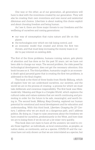One way or the other, as of our generation, all generations will have to deal with the inventions created by our generation. They will also be creating their own inventions and new moral and existential dilemmas and choices. Libertism is about making this choice explicit and about choosing freedom and being human.

As I see it, there are three major threats to our freedoms and the wellbeing of ourselves and coming generations:

- our way of consumption that ruins nature and life on this planet,
- the technologies over which we risk losing control, and
- an economic model that created and drives the first two threats, and that must keep increasing the money mass in order to pay interest on existing debt.

The first of the three problems, humans ruining nature, gets plenty of attention and has done so for the past 50 years, yet we have not been able to change our ways. The second problem, the risks posed by technological development, does not get the necessary attention; this book focuses on it. The third problem, humanity caught in an economic death spiral pyramid game that is creating the first two problems, is addressed in the final chapter.

This book is the third of three books from Nordic Bildung, which all explore how we can understand ourselves, our societies, and the world we are in the process of creating—a process for which we must take deliberate and conscious responsibility. The first book was *Metamodernity: Meaning and Hope in a Complex World*, which explores the cultural codes and values systems that are worth continuing and promoting in order for the future to be safe, meaningful, and worth living in. The second book, *Bildung: Keep Growing,* explored our human potential for emotional and moral development and for education and understanding. With this third book, *Libertism: Grasping the 21st Century,* I address why we are stuck on a dangerous path, and I address politics. By doing so, I hope to raise awareness about the freedoms we have created for ourselves, predominantly in the West, and how close we are to losing them if we do not act a lot wiser very quickly.

This book does not claim to have all the answers; we need to create those together: as individuals, as local communities, as peoples, as nation states, as continents, and as a species. COVID-19 and the vaccines have not only shown us that we are interrelated as a species, but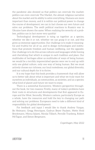the pandemic also showed us that politics can overrule the market; politics can even overrule The Market, the almost religious narrative about the market and its ability to solve everything. Humans are more important than money, and it is within our political power to change the course of development; we can in fact choose our own future and solve our problems. The swift political reactions to Russia's war in Ukraine have shown the same: When realizing the severity of a problem, politics can in fact move very quickly!

Technological development is tying us together as a species, whether we like it or not, whether we can grasp it or not, and this gives us immense opportunities. Our challenge is to make it meaningful and fruitful for all of us, and to design technologies and institutions that promote freedom and human wellbeing, not the opposite. Our challenge is to do this across cultures and languages while honing and cherishing that which is unique in each tradition and place. Our multitudes of heritages allow us multitudes of ways of being human; we would be a terribly impoverished species were we to end up with only one global culture, only one way of being human. But we must actively choose our richness, our local rootedness, our global diversity, and our cultural depth for it to thrive.

It is my hope that this book provides a framework that will allow us to better talk about what is important and what we truly want for ourselves as individuals, as communities, as societies, and as a species; what kind of planet and future we want to enjoy.

There is a somewhat Eurocentric, Western perspective throughout the book, for two reasons: Firstly, many of today's problems have their roots in structures and developments that first appeared in Europe and the West. Secondly, Western nations, particularly Europe as a whole, have the resources and hold the key to changing our path and solving our problems. Europeans need to take a different kind of responsibility for global development.

For feedback and input I would like to thank Andrey Vargas, Bo Heimann, Gregg Henriques, Gudrun Beyer Paulsen, Mette Hvid Brockmann, Minna Salami, Nicolai Tillisch, Pernille Tranberg, Robert McTague, and Simon Bergmann.

*Copenhagen, May 2022*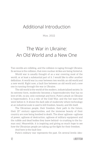### Additional Introduction

May, 2022

## The War in Ukraine: An Old World and a New One

Two worlds are colliding, and the collision is raging through Ukraine. So serious is the collision, that even nuclear strikes are being hinted at.

World war is usually thought of as a war covering most of the world, or at least a substantial part of it. I would like to offer another definition: A world war is a war between two worlds; an old world and a new world. Right now, a fault line between an old world and a new one is running through the war in Ukraine.

The old world is the world of the modern, industrialized society. In its extreme form, modernity becomes a hypermodernity that has no love of life, no joy, only contempt and force. Putin's attack on Ukraine is hypermodern. It is a relic of the Cold War, and the hot wars that went before it. It shows the dark side of modernity where technology at an industrial scale is used to kill freedom, beauty, and life itself.

The Ukrainian people, their freedom, their path to the future, their 21st century opportunities, and the immense beauty of their country are now being bombed to death. The shear ugliness—ugliness of power, ugliness of destruction, ugliness of military equipment and the rubble and dead bodies they leave behind—is crushing to the human soul. Meanwhile, it is inspiring and giving so much hope to see how the Ukrainian people are taking up the fight for their freedom.

And here is the fault line:

Putin's military war represents the past. On several levels: ideo-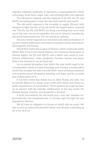logically, militarily, politically. It represents a hypermodernity where technology, brute force, anger, hate, and contempt offer only ugliness.

The Ukrainian response and the response of the EU, the US, and NATO are taking place in both the old world and the new world.

The old-world response is the scramble to supply Ukraine with weapons to fight the war of the old world: the hypermodern, material war. The EU, the US, and NATO are doing everything they can to stay out of this war, not out of cowardice, but out of refusal to escalate the old-world hypermodernity. Yet, we cannot do nothing.

The new-world response is an economic and cultural shutdown. It is a non-violent suffocation of the flow of symbols: money and culture. Of prosperity and beauty.

World War I led to the League of Nations, which eventually failed. World War II led to the United Nations, the Universal Declaration of Human Rights, the EU and NATO, and a whole new world of institutions, collaboration, order, prosperity, freedom, beauty, and peace. Now is the moment to not let them fail.

Let us instead strengthen that which the new world ought to be: a metamodern world of cultural heritage and richness, a metamodern world that includes the best from 200,000+ years of human existence and promotes peace, prosperity, meaning, and hope, and let us create new collaboration for it.

It has been noted that Russia has no allies. Russia, the state, has no friends: Belarus is a vassal, as are a few other states, and China is a polite acquaintance of convenience. There needs to be a path for Russia to connect with the friendly collaboration of the new world. For Russian beauty, freedom, and prosperity to flourish.

A fault line between the old world and a new one, between hypermodernity and metamodernity, is running right through the war imposed on Ukraine.

We all have an obligation to choose on which side we stand. We live in such an inherently beautiful world, and Ukraine is standing up for it for all of us.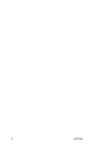#### 14 LIBERTISM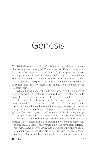## Genesis

The Biblical story tells us that God talked the world into being and that he saw that it was good. Then he created life and it was good, and finally he created Adam and Eve. In "our" image as the Hebrew text says; maybe this referred solely to God himself, or maybe to himself and nature with the humans somewhere in between. The good Lord also planted two special trees in the Garden of Eden—the tree of knowledge and the tree of eternal life—and he told the humans not to eat from them.

What a boring story that would have been, had the humans not been faced with that challenge! Amazing, how little that story would have offered to say about us, had that choice not been there!

The fruit of knowledge on that tree was not knowledge in the sense of academic facts but self-knowledge: self-consciousness and moral conscience. Eating the fruit of knowledge cost us our innocence and gave us individual responsibility for our choices and actions. It put a burden on us, it gave us the freedom to fail; it told us to grow up.

Imagine Western civilization without that one particular story. It isn't possible. No moral challenge, no freedom, no failure, no chance to succeed. The West might have had Greek philosophy and democracy but only for 200 years, then everything would have been different. There would have been no Jews, then no Christianity, and no Islam. No Talmudic search for justice. No Scholastic search for Truth. No Islamic search for knowledge. There might have been the Roman Em-

Libertism 15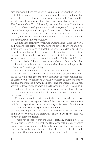pire, but would there have been a lasting counter-narrative insisting that all humans are created in the image of the same God and that we are therefore each-others' equals and of equal value? Without the Abrahamic religions, would there have been a constant struggle over The One and Only Truth? Probably not, and then, most likely, there would have been no religious wars; no religious peace forcing into existence the acceptance of the right of an opponent to be fundamentally wrong. Without this, would there have been modernity, ideologies, politics, modern democracy, human rights, equality, and freedom in the form that we know them now?

As in the Biblical story, when God imagined and talked the world and humans into being; we now have the power to invent and program new life forms and artificial intelligence too. God planted two special trees in his garden, now we are planting two in ours: autonomous artificial intelligence and eternal artificial intelligence. God knew he would lose control over his creation if Adam and Eve ate from one or both of the two trees; now we have to face the fact that our inventions will compute to become what they have the potential to be if we allow that possibility.

It is entirely our choice and we are the first generation to face it.

If we choose to create artificial intelligence smarter than ourselves, we will no longer be the most intelligent phenomenon on planet Earth; we will no longer be alone. If we choose to plant the tree of artificial autonomous swarm intelligence and the Internet of Things, we will let loose forces as powerful as the evolution that created us in the first place. If we provide it with solar panels, we will have planted the tree of eternal data handling. Either way, our role as humans will have changed forever.

If we choose *not* to create these technologies, we will have mastered self-restraint as a species. We will become our own masters. We will also have put the same technical ability and existential choice into the hands of every future generation, and it will be our task as it will be theirs to bring up the next generation with the same self-restraint and mastery. We will have profoundly changed as a species and will have to be forever different.

This is not to suggest that the Bible is factually true; it is not. All serious science has shown that the Bible says nothing scientifically useful about how humans and the only habitable planet we know of came into being. But morally and existentially, the Bible should be telling us something. As we are becoming life- and intelligence-creating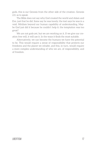gods, this is our Genesis from the other side of the creation. Genesis 2.0, so to speak.

The Bible does not say why God created the world and Adam and Eve, just that he did. Some say he was lonely; the text says he was in a void. Nihilism beyond our human capability of understanding. Maybe God just did it because he couldn't help it; the temptation was too great?

We are not gods yet, but we are working on it. If we give our creation free will, it will use it. In the ways it finds the most suitable.

Alternatively, we can become the humans we have the potential to be. This would require a sense of responsibility that protects our freedoms and the planet we inhabit, and this, in turn, would require a more complex understanding of who we are, of responsibility, and of freedom.